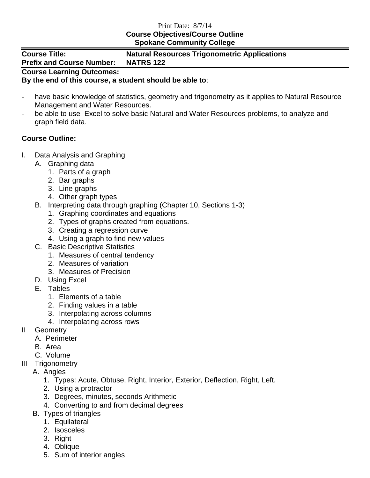## Print Date: 8/7/14 **Course Objectives/Course Outline Spokane Community College**

| <b>Course Title:</b><br><b>Prefix and Course Number:</b> | <b>Natural Resources Trigonometric Applications</b><br><b>NATRS 122</b> |
|----------------------------------------------------------|-------------------------------------------------------------------------|
| <b>Course Learning Outcomes:</b>                         |                                                                         |

## **By the end of this course, a student should be able to**:

- have basic knowledge of statistics, geometry and trigonometry as it applies to Natural Resource Management and Water Resources.
- be able to use Excel to solve basic Natural and Water Resources problems, to analyze and graph field data.

## **Course Outline:**

- I. Data Analysis and Graphing
	- A. Graphing data
		- 1. Parts of a graph
		- 2. Bar graphs
		- 3. Line graphs
		- 4. Other graph types
	- B. Interpreting data through graphing (Chapter 10, Sections 1-3)
		- 1. Graphing coordinates and equations
		- 2. Types of graphs created from equations.
		- 3. Creating a regression curve
		- 4. Using a graph to find new values
	- C. Basic Descriptive Statistics
		- 1. Measures of central tendency
		- 2. Measures of variation
		- 3. Measures of Precision
	- D. Using Excel
	- E. Tables
		- 1. Elements of a table
		- 2. Finding values in a table
		- 3. Interpolating across columns
		- 4. Interpolating across rows
- II Geometry
	- A. Perimeter
	- B. Area
	- C. Volume
- III Trigonometry
	- A. Angles
		- 1. Types: Acute, Obtuse, Right, Interior, Exterior, Deflection, Right, Left.
		- 2. Using a protractor
		- 3. Degrees, minutes, seconds Arithmetic
		- 4. Converting to and from decimal degrees
	- B. Types of triangles
		- 1. Equilateral
		- 2. Isosceles
		- 3. Right
		- 4. Oblique
		- 5. Sum of interior angles